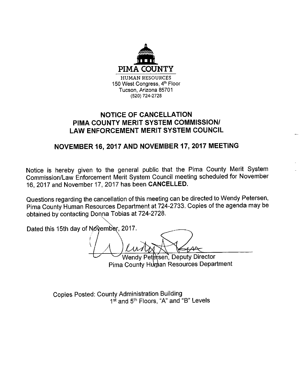

# **NOTICE OF CANCELLATION** PIMA COUNTY MERIT SYSTEM COMMISSION/ **LAW ENFORCEMENT MERIT SYSTEM COUNCIL**

# NOVEMBER 16, 2017 AND NOVEMBER 17, 2017 MEETING

Notice is hereby given to the general public that the Pima County Merit System Commission/Law Enforcement Merit System Council meeting scheduled for November 16, 2017 and November 17, 2017 has been CANCELLED.

Questions regarding the cancellation of this meeting can be directed to Wendy Petersen, Pima County Human Resources Department at 724-2733. Copies of the agenda may be obtained by contacting Donna Tobias at 724-2728.

Dated this 15th day of November, 2017.

Wendy Petersen, Deputy Director

Pima County Human Resources Department

**Copies Posted: County Administration Building** 1st and 5th Floors, "A" and "B" Levels